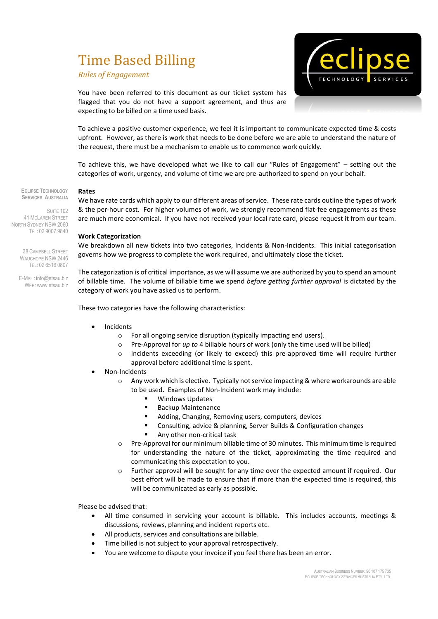# Time Based Billing

*Rules of Engagement*



You have been referred to this document as our ticket system has flagged that you do not have a support agreement, and thus are expecting to be billed on a time used basis.

To achieve a positive customer experience, we feel it is important to communicate expected time & costs upfront. However, as there is work that needs to be done before we are able to understand the nature of the request, there must be a mechanism to enable us to commence work quickly.

To achieve this, we have developed what we like to call our "Rules of Engagement" – setting out the categories of work, urgency, and volume of time we are pre-authorized to spend on your behalf.

**ECLIPSE TECHNOLOGY SERVICES AUSTRALIA**

SUITE<sub>102</sub> 41 MCLAREN STREET NORTH SYDNEY NSW 2060 TEL: 02 9007 9840

> 38 CAMPBELL STREET WAUCHOPE NSW 2446 TEL: 02 6516 0807

E-MAIL: info@etsau.biz WEB: www.etsau.biz We have rate cards which apply to our different areas of service. These rate cards outline the types of work & the per-hour cost. For higher volumes of work, we strongly recommend flat-fee engagements as these are much more economical. If you have not received your local rate card, please request it from our team.

# **Work Categorization**

**Rates**

We breakdown all new tickets into two categories, Incidents & Non-Incidents. This initial categorisation governs how we progress to complete the work required, and ultimately close the ticket.

The categorization is of critical importance, as we will assume we are authorized by you to spend an amount of billable time. The volume of billable time we spend *before getting further approval* is dictated by the category of work you have asked us to perform.

These two categories have the following characteristics:

- Incidents
	- o For all ongoing service disruption (typically impacting end users).
	- o Pre-Approval for *up to* 4 billable hours of work (only the time used will be billed)
	- o Incidents exceeding (or likely to exceed) this pre-approved time will require further approval before additional time is spent.
- Non-Incidents
	- $\circ$  Any work which is elective. Typically not service impacting & where workarounds are able to be used. Examples of Non-Incident work may include:
		- **Windows Updates**
		- **Backup Maintenance**
		- Adding, Changing, Removing users, computers, devices
		- Consulting, advice & planning, Server Builds & Configuration changes
		- Any other non-critical task
	- $\circ$  Pre-Approval for our minimum billable time of 30 minutes. This minimum time is required for understanding the nature of the ticket, approximating the time required and communicating this expectation to you.
	- o Further approval will be sought for any time over the expected amount if required. Our best effort will be made to ensure that if more than the expected time is required, this will be communicated as early as possible.

Please be advised that:

- All time consumed in servicing your account is billable. This includes accounts, meetings & discussions, reviews, planning and incident reports etc.
- All products, services and consultations are billable.
- Time billed is not subject to your approval retrospectively.
- You are welcome to dispute your invoice if you feel there has been an error.